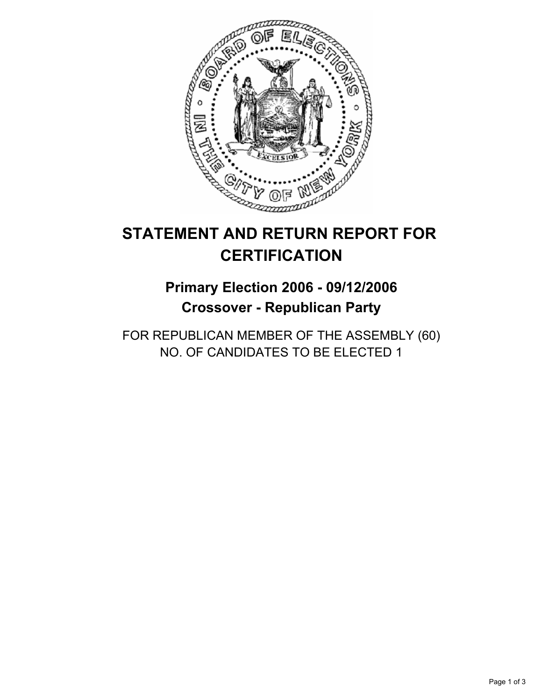

# **STATEMENT AND RETURN REPORT FOR CERTIFICATION**

# **Primary Election 2006 - 09/12/2006 Crossover - Republican Party**

FOR REPUBLICAN MEMBER OF THE ASSEMBLY (60) NO. OF CANDIDATES TO BE ELECTED 1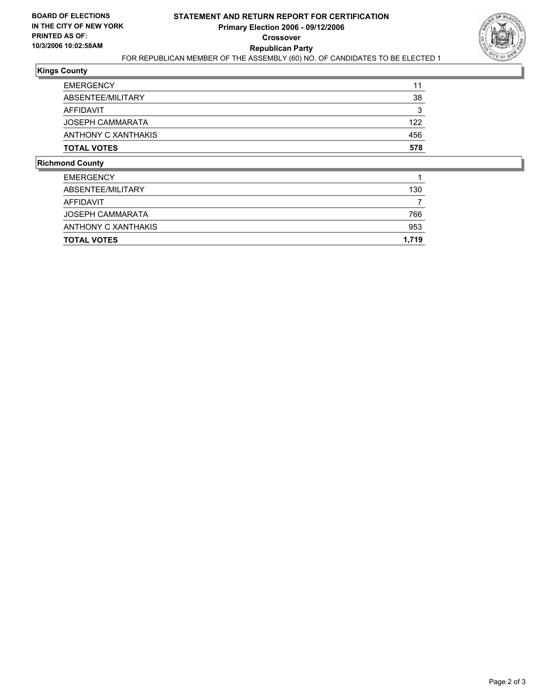

## **Kings County**

| <b>EMERGENCY</b>    | 11  |
|---------------------|-----|
| ABSENTEE/MILITARY   | 38  |
| AFFIDAVIT           |     |
| JOSEPH CAMMARATA    | 122 |
| ANTHONY C XANTHAKIS | 456 |
| <b>TOTAL VOTES</b>  | 578 |

### **Richmond County**

| <b>TOTAL VOTES</b>  | 1,719 |
|---------------------|-------|
| ANTHONY C XANTHAKIS | 953   |
| JOSEPH CAMMARATA    | 766   |
| AFFIDAVIT           |       |
| ABSENTEE/MILITARY   | 130   |
| <b>EMERGENCY</b>    |       |